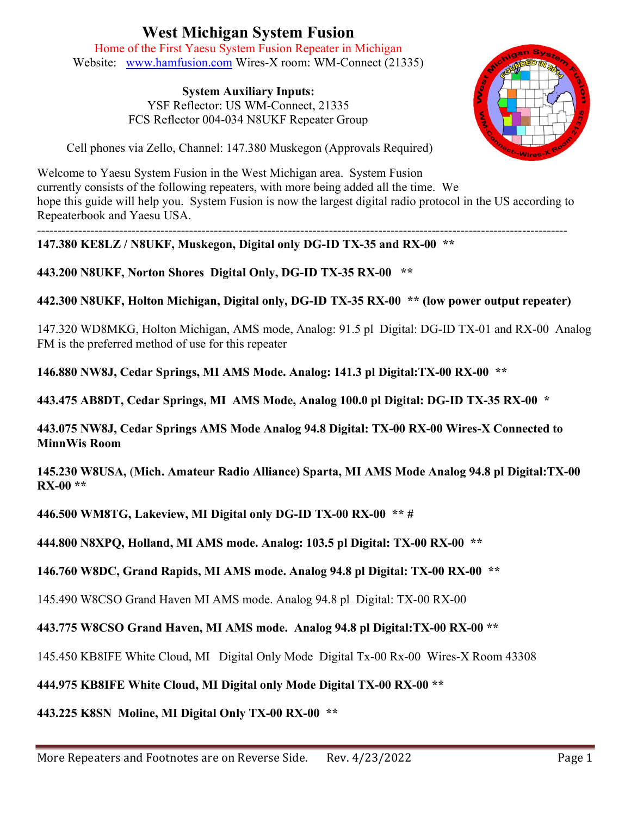## West Michigan System Fusion

Home of the First Yaesu System Fusion Repeater in Michigan Website: www.hamfusion.com Wires-X room: WM-Connect (21335)

> System Auxiliary Inputs: YSF Reflector: US WM-Connect, 21335 FCS Reflector 004-034 N8UKF Repeater Group



Cell phones via Zello, Channel: 147.380 Muskegon (Approvals Required)

Welcome to Yaesu System Fusion in the West Michigan area. System Fusion currently consists of the following repeaters, with more being added all the time. We hope this guide will help you. System Fusion is now the largest digital radio protocol in the US according to Repeaterbook and Yaesu USA.

--------------------------------------------------------------------------------------------------------------------------------- 147.380 KE8LZ / N8UKF, Muskegon, Digital only DG-ID TX-35 and RX-00 \*\*

443.200 N8UKF, Norton Shores Digital Only, DG-ID TX-35 RX-00 \*\*

442.300 N8UKF, Holton Michigan, Digital only, DG-ID TX-35 RX-00 \*\* (low power output repeater)

147.320 WD8MKG, Holton Michigan, AMS mode, Analog: 91.5 pl Digital: DG-ID TX-01 and RX-00 Analog FM is the preferred method of use for this repeater

146.880 NW8J, Cedar Springs, MI AMS Mode. Analog: 141.3 pl Digital:TX-00 RX-00 \*\*

443.475 AB8DT, Cedar Springs, MI AMS Mode, Analog 100.0 pl Digital: DG-ID TX-35 RX-00 \*

443.075 NW8J, Cedar Springs AMS Mode Analog 94.8 Digital: TX-00 RX-00 Wires-X Connected to MinnWis Room

145.230 W8USA, (Mich. Amateur Radio Alliance) Sparta, MI AMS Mode Analog 94.8 pl Digital:TX-00 RX-00 \*\*

446.500 WM8TG, Lakeview, MI Digital only DG-ID TX-00 RX-00 \*\* #

444.800 N8XPQ, Holland, MI AMS mode. Analog: 103.5 pl Digital: TX-00 RX-00 \*\*

146.760 W8DC, Grand Rapids, MI AMS mode. Analog 94.8 pl Digital: TX-00 RX-00 \*\*

145.490 W8CSO Grand Haven MI AMS mode. Analog 94.8 pl Digital: TX-00 RX-00

443.775 W8CSO Grand Haven, MI AMS mode. Analog 94.8 pl Digital:TX-00 RX-00 \*\*

145.450 KB8IFE White Cloud, MI Digital Only Mode Digital Tx-00 Rx-00 Wires-X Room 43308

444.975 KB8IFE White Cloud, MI Digital only Mode Digital TX-00 RX-00 \*\*

443.225 K8SN Moline, MI Digital Only TX-00 RX-00 \*\*